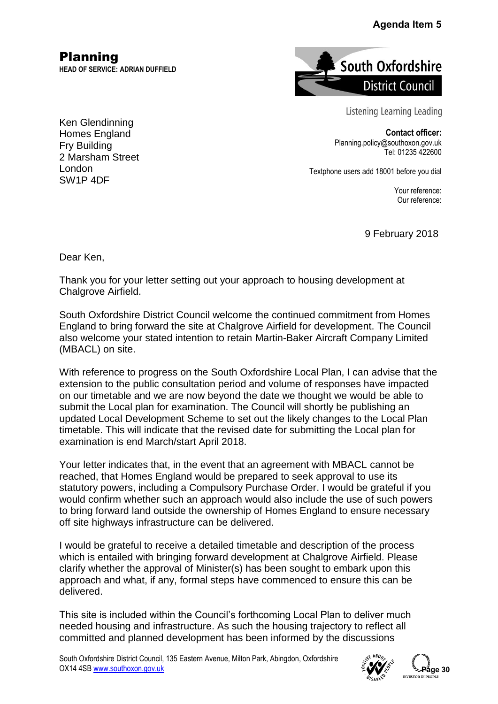## **Agenda Item 5**

Planning

**HEAD OF SERVICE: ADRIAN DUFFIELD**



Listening Learning Leading

**Contact officer:** Planning.policy@southoxon.gov.uk Tel: 01235 422600

Textphone users add 18001 before you dial

Your reference: Our reference:

9 February 2018

Dear Ken,

Thank you for your letter setting out your approach to housing development at Chalgrove Airfield.

South Oxfordshire District Council welcome the continued commitment from Homes England to bring forward the site at Chalgrove Airfield for development. The Council also welcome your stated intention to retain Martin-Baker Aircraft Company Limited (MBACL) on site.

With reference to progress on the South Oxfordshire Local Plan, I can advise that the extension to the public consultation period and volume of responses have impacted on our timetable and we are now beyond the date we thought we would be able to submit the Local plan for examination. The Council will shortly be publishing an updated Local Development Scheme to set out the likely changes to the Local Plan timetable. This will indicate that the revised date for submitting the Local plan for examination is end March/start April 2018. **Agenda Item 5**<br> **Pagenda Item 5**<br> **Page 12 Contact officer:**<br> **Contact officer:**<br> **Pageodification**<br> **Pageodification**<br> **Pageodification**<br> **Pageodification**<br> **Pageodification**<br> **Pageodification**<br> **Pageodification**<br> **Pag** 

Your letter indicates that, in the event that an agreement with MBACL cannot be reached, that Homes England would be prepared to seek approval to use its statutory powers, including a Compulsory Purchase Order. I would be grateful if you would confirm whether such an approach would also include the use of such powers to bring forward land outside the ownership of Homes England to ensure necessary off site highways infrastructure can be delivered.

I would be grateful to receive a detailed timetable and description of the process which is entailed with bringing forward development at Chalgrove Airfield. Please clarify whether the approval of Minister(s) has been sought to embark upon this approach and what, if any, formal steps have commenced to ensure this can be delivered.

This site is included within the Council's forthcoming Local Plan to deliver much needed housing and infrastructure. As such the housing trajectory to reflect all committed and planned development has been informed by the discussions

South Oxfordshire District Council, 135 Eastern Avenue, Milton Park, Abingdon, Oxfordshire OX14 4SB [www.southoxon.gov.uk](http://www.southoxon.gov.uk/)



આ પ્રકૃ∿વ સ્થા

Ken Glendinning Homes England Fry Building 2 Marsham Street London SW1P 4DF